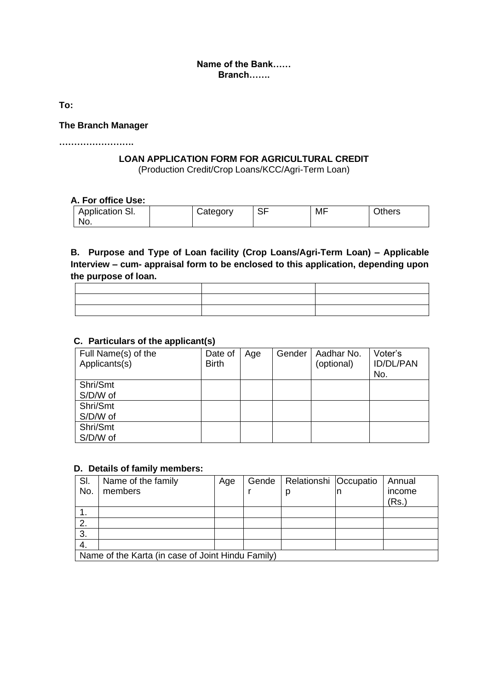#### **Name of the Bank…… Branch…….**

**To:**

#### **The Branch Manager**

**…………………….**

## **LOAN APPLICATION FORM FOR AGRICULTURAL CREDIT**

(Production Credit/Crop Loans/KCC/Agri-Term Loan)

#### **A. For office Use:**

| Application SI. | Category | $\cap$<br>১৮ | MF | Others |
|-----------------|----------|--------------|----|--------|
| No.             |          |              |    |        |

## **B. Purpose and Type of Loan facility (Crop Loans/Agri-Term Loan) – Applicable Interview – cum- appraisal form to be enclosed to this application, depending upon the purpose of loan.**

| the contract of the contract of the contract of the contract of the contract of |  |
|---------------------------------------------------------------------------------|--|
|                                                                                 |  |

#### **C. Particulars of the applicant(s)**

| Full Name(s) of the<br>Applicants(s) | Date of<br><b>Birth</b> | Age | Gender | Aadhar No.<br>(optional) | Voter's<br><b>ID/DL/PAN</b><br>No. |
|--------------------------------------|-------------------------|-----|--------|--------------------------|------------------------------------|
| Shri/Smt                             |                         |     |        |                          |                                    |
| S/D/W of                             |                         |     |        |                          |                                    |
| Shri/Smt                             |                         |     |        |                          |                                    |
| S/D/W of                             |                         |     |        |                          |                                    |
| Shri/Smt                             |                         |     |        |                          |                                    |
| S/D/W of                             |                         |     |        |                          |                                    |

#### **D. Details of family members:**

| SI.                                               | Name of the family | Age |  | Gende   Relationshi   Occupatio |  | Annual |
|---------------------------------------------------|--------------------|-----|--|---------------------------------|--|--------|
| No.                                               | members            |     |  | p                               |  | income |
|                                                   |                    |     |  |                                 |  | (Rs.)  |
|                                                   |                    |     |  |                                 |  |        |
|                                                   |                    |     |  |                                 |  |        |
| 3.                                                |                    |     |  |                                 |  |        |
| 4.                                                |                    |     |  |                                 |  |        |
| Name of the Karta (in case of Joint Hindu Family) |                    |     |  |                                 |  |        |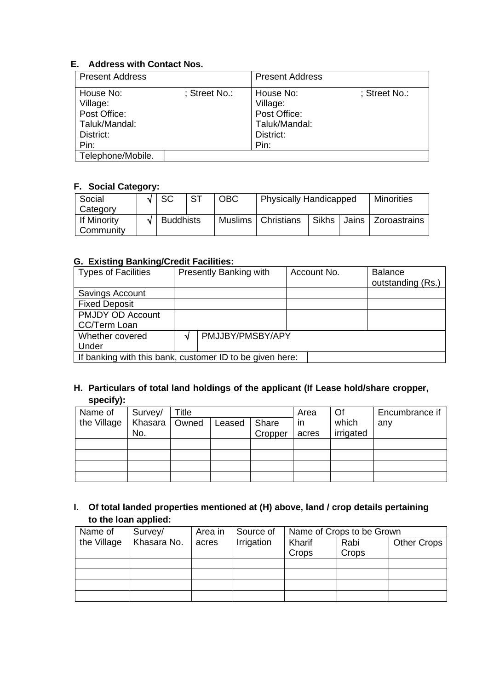#### **E. Address with Contact Nos.**

| <b>Present Address</b>                                                      |               | <b>Present Address</b>                                                      |               |
|-----------------------------------------------------------------------------|---------------|-----------------------------------------------------------------------------|---------------|
| House No:<br>Village:<br>Post Office:<br>Taluk/Mandal:<br>District:<br>Pin: | : Street No.: | House No:<br>Village:<br>Post Office:<br>Taluk/Mandal:<br>District:<br>Pin: | : Street No.: |
| Telephone/Mobile.                                                           |               |                                                                             |               |

## **F. Social Category:**

| Social      | I SC      | <b>ST</b> | <b>OBC</b> | <b>Physically Handicapped</b> |       |  | <b>Minorities</b>    |
|-------------|-----------|-----------|------------|-------------------------------|-------|--|----------------------|
| Category    |           |           |            |                               |       |  |                      |
| If Minority | Buddhists |           |            | Muslims   Christians          | Sikhs |  | Jains   Zoroastrains |
| Community   |           |           |            |                               |       |  |                      |

#### **G. Existing Banking/Credit Facilities:**

| <b>Types of Facilities</b>                               |    | Presently Banking with | Account No. | <b>Balance</b><br>outstanding (Rs.) |  |
|----------------------------------------------------------|----|------------------------|-------------|-------------------------------------|--|
| Savings Account                                          |    |                        |             |                                     |  |
| <b>Fixed Deposit</b>                                     |    |                        |             |                                     |  |
| <b>PMJDY OD Account</b>                                  |    |                        |             |                                     |  |
| CC/Term Loan                                             |    |                        |             |                                     |  |
| Whether covered                                          | ٦Ι | PMJJBY/PMSBY/APY       |             |                                     |  |
| Under                                                    |    |                        |             |                                     |  |
| If banking with this bank, customer ID to be given here: |    |                        |             |                                     |  |

## **H. Particulars of total land holdings of the applicant (If Lease hold/share cropper, specify):**

| Name of     | Survey/         | Title |        |         | Area  | Of        | Encumbrance if |
|-------------|-----------------|-------|--------|---------|-------|-----------|----------------|
| the Village | Khasara   Owned |       | Leased | Share   | in.   | which     | any            |
|             | No.             |       |        | Cropper | acres | irrigated |                |
|             |                 |       |        |         |       |           |                |
|             |                 |       |        |         |       |           |                |
|             |                 |       |        |         |       |           |                |
|             |                 |       |        |         |       |           |                |

## **I. Of total landed properties mentioned at (H) above, land / crop details pertaining to the loan applied:**

| Name of     | Survey/     | Area in | Source of  | Name of Crops to be Grown |       |                    |
|-------------|-------------|---------|------------|---------------------------|-------|--------------------|
| the Village | Khasara No. | acres   | Irrigation | Kharif                    | Rabi  | <b>Other Crops</b> |
|             |             |         |            | Crops                     | Crops |                    |
|             |             |         |            |                           |       |                    |
|             |             |         |            |                           |       |                    |
|             |             |         |            |                           |       |                    |
|             |             |         |            |                           |       |                    |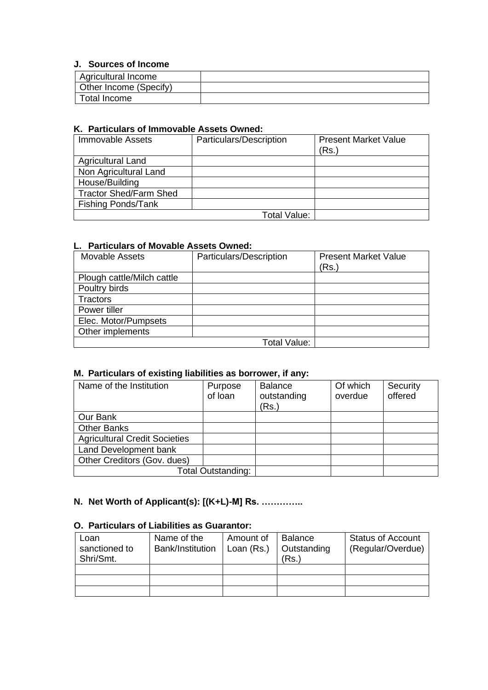#### **J. Sources of Income**

| Agricultural Income    |  |
|------------------------|--|
| Other Income (Specify) |  |
| Total Income           |  |

#### **K. Particulars of Immovable Assets Owned:**

| <b>Immovable Assets</b>       | Particulars/Description | <b>Present Market Value</b><br>(Rs.) |
|-------------------------------|-------------------------|--------------------------------------|
| <b>Agricultural Land</b>      |                         |                                      |
| Non Agricultural Land         |                         |                                      |
| House/Building                |                         |                                      |
| <b>Tractor Shed/Farm Shed</b> |                         |                                      |
| <b>Fishing Ponds/Tank</b>     |                         |                                      |
|                               | Total Value:            |                                      |

#### **L. Particulars of Movable Assets Owned:**

| <b>Movable Assets</b>      | Particulars/Description | <b>Present Market Value</b><br>(Rs.) |
|----------------------------|-------------------------|--------------------------------------|
| Plough cattle/Milch cattle |                         |                                      |
| Poultry birds              |                         |                                      |
| Tractors                   |                         |                                      |
| Power tiller               |                         |                                      |
| Elec. Motor/Pumpsets       |                         |                                      |
| Other implements           |                         |                                      |
|                            | Total Value:            |                                      |

## **M. Particulars of existing liabilities as borrower, if any:**

| Name of the Institution              | Purpose<br>of loan | <b>Balance</b><br>outstanding<br>(Rs.) | Of which<br>overdue | Security<br>offered |
|--------------------------------------|--------------------|----------------------------------------|---------------------|---------------------|
| Our Bank                             |                    |                                        |                     |                     |
| <b>Other Banks</b>                   |                    |                                        |                     |                     |
| <b>Agricultural Credit Societies</b> |                    |                                        |                     |                     |
| Land Development bank                |                    |                                        |                     |                     |
| Other Creditors (Gov. dues)          |                    |                                        |                     |                     |
| <b>Total Outstanding:</b>            |                    |                                        |                     |                     |

# **N. Net Worth of Applicant(s): [(K+L)-M] Rs. …………..**

## **O. Particulars of Liabilities as Guarantor:**

| Loan<br>sanctioned to<br>Shri/Smt. | Name of the<br>Bank/Institution | Amount of<br>Loan (Rs.) | <b>Balance</b><br>Outstanding<br>(Rs.) | <b>Status of Account</b><br>(Regular/Overdue) |
|------------------------------------|---------------------------------|-------------------------|----------------------------------------|-----------------------------------------------|
|                                    |                                 |                         |                                        |                                               |
|                                    |                                 |                         |                                        |                                               |
|                                    |                                 |                         |                                        |                                               |
|                                    |                                 |                         |                                        |                                               |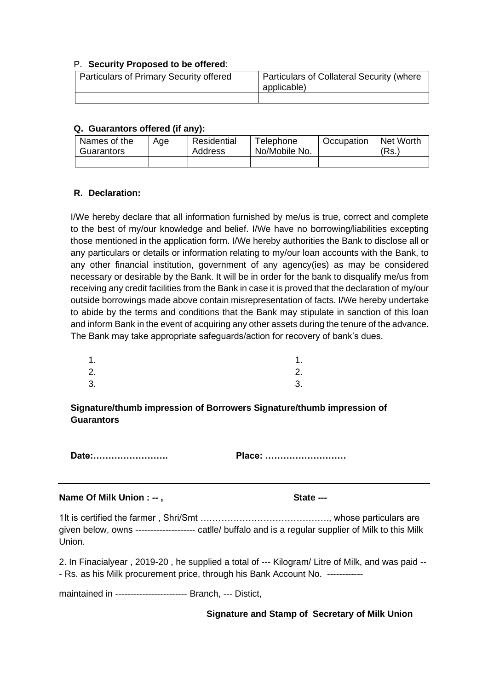#### P. **Security Proposed to be offered**:

| <b>Particulars of Primary Security offered</b> | Particulars of Collateral Security (where<br>applicable) |
|------------------------------------------------|----------------------------------------------------------|
|                                                |                                                          |

#### **Q. Guarantors offered (if any):**

| Names of the | Age | Residential | Telephone     | Occupation | Net Worth |
|--------------|-----|-------------|---------------|------------|-----------|
| Guarantors   |     | Address     | No/Mobile No. |            | $'Rs$ .   |
|              |     |             |               |            |           |

#### **R. Declaration:**

I/We hereby declare that all information furnished by me/us is true, correct and complete to the best of my/our knowledge and belief. I/We have no borrowing/liabilities excepting those mentioned in the application form. I/We hereby authorities the Bank to disclose all or any particulars or details or information relating to my/our loan accounts with the Bank, to any other financial institution, government of any agency(ies) as may be considered necessary or desirable by the Bank. It will be in order for the bank to disqualify me/us from receiving any credit facilities from the Bank in case it is proved that the declaration of my/our outside borrowings made above contain misrepresentation of facts. I/We hereby undertake to abide by the terms and conditions that the Bank may stipulate in sanction of this loan and inform Bank in the event of acquiring any other assets during the tenure of the advance. The Bank may take appropriate safeguards/action for recovery of bank's dues.

| $\overline{A}$ | ۱.  |
|----------------|-----|
| 2              | -2. |

| -- | --           |
|----|--------------|
| 3. | $\sim$<br>ა. |

**Signature/thumb impression of Borrowers Signature/thumb impression of Guarantors**

**Date:……………………. Place: ………………………**

#### **Name Of Milk Union : --, State ---**

1It is certified the farmer , Shri/Smt ……………………………………., whose particulars are given below, owns -------------------- catlle/ buffalo and is a regular supplier of Milk to this Milk Union.

2. In Finacialyear , 2019-20 , he supplied a total of --- Kilogram/ Litre of Milk, and was paid -- - Rs. as his Milk procurement price, through his Bank Account No. ------------

maintained in ------------------------ Branch, --- Distict,

**Signature and Stamp of Secretary of Milk Union**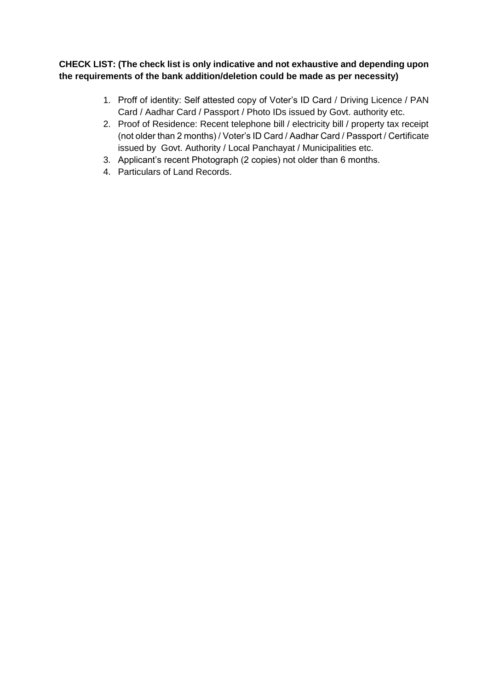## **CHECK LIST: (The check list is only indicative and not exhaustive and depending upon the requirements of the bank addition/deletion could be made as per necessity)**

- 1. Proff of identity: Self attested copy of Voter's ID Card / Driving Licence / PAN Card / Aadhar Card / Passport / Photo IDs issued by Govt. authority etc.
- 2. Proof of Residence: Recent telephone bill / electricity bill / property tax receipt (not older than 2 months) / Voter's ID Card / Aadhar Card / Passport / Certificate issued by Govt. Authority / Local Panchayat / Municipalities etc.
- 3. Applicant's recent Photograph (2 copies) not older than 6 months.
- 4. Particulars of Land Records.